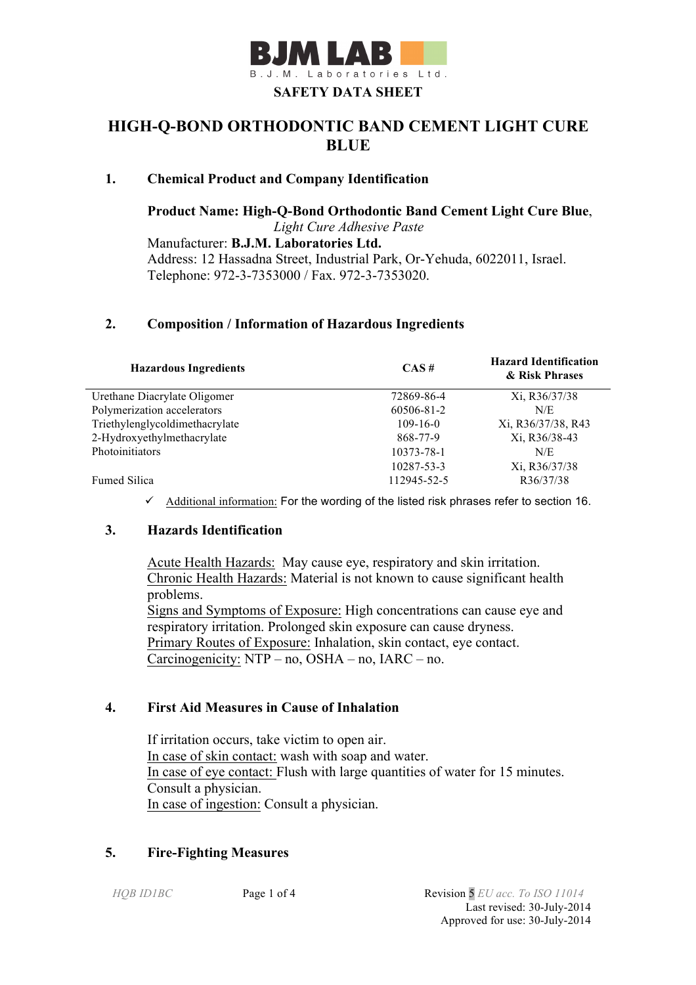

# **HIGH-Q-BOND ORTHODONTIC BAND CEMENT LIGHT CURE BLUE**

# **1. Chemical Product and Company Identification**

**Product Name: High-Q-Bond Orthodontic Band Cement Light Cure Blue**, *Light Cure Adhesive Paste* Manufacturer: **B.J.M. Laboratories Ltd.** Address: 12 Hassadna Street, Industrial Park, Or-Yehuda, 6022011, Israel. Telephone: 972-3-7353000 / Fax. 972-3-7353020.

# **2. Composition / Information of Hazardous Ingredients**

| <b>Hazardous Ingredients</b>   | CAS#           | <b>Hazard Identification</b><br>& Risk Phrases |
|--------------------------------|----------------|------------------------------------------------|
| Urethane Diacrylate Oligomer   | 72869-86-4     | Xi, R36/37/38                                  |
| Polymerization accelerators    | 60506-81-2     | N/E                                            |
| Triethylenglycoldimethacrylate | $109 - 16 - 0$ | Xi, R36/37/38, R43                             |
| 2-Hydroxyethylmethacrylate     | 868-77-9       | Xi, R36/38-43                                  |
| Photoinitiators                | 10373-78-1     | N/E                                            |
|                                | 10287-53-3     | Xi, R36/37/38                                  |
| Fumed Silica                   | 112945-52-5    | R36/37/38                                      |

 $\checkmark$  Additional information: For the wording of the listed risk phrases refer to section 16.

# **3. Hazards Identification**

Acute Health Hazards: May cause eye, respiratory and skin irritation. Chronic Health Hazards: Material is not known to cause significant health problems. Signs and Symptoms of Exposure: High concentrations can cause eye and respiratory irritation. Prolonged skin exposure can cause dryness. Primary Routes of Exposure: Inhalation, skin contact, eye contact. Carcinogenicity: NTP – no, OSHA – no, IARC – no.

### **4. First Aid Measures in Cause of Inhalation**

 If irritation occurs, take victim to open air. In case of skin contact: wash with soap and water. In case of eye contact: Flush with large quantities of water for 15 minutes. Consult a physician. In case of ingestion: Consult a physician.

# **5. Fire-Fighting Measures**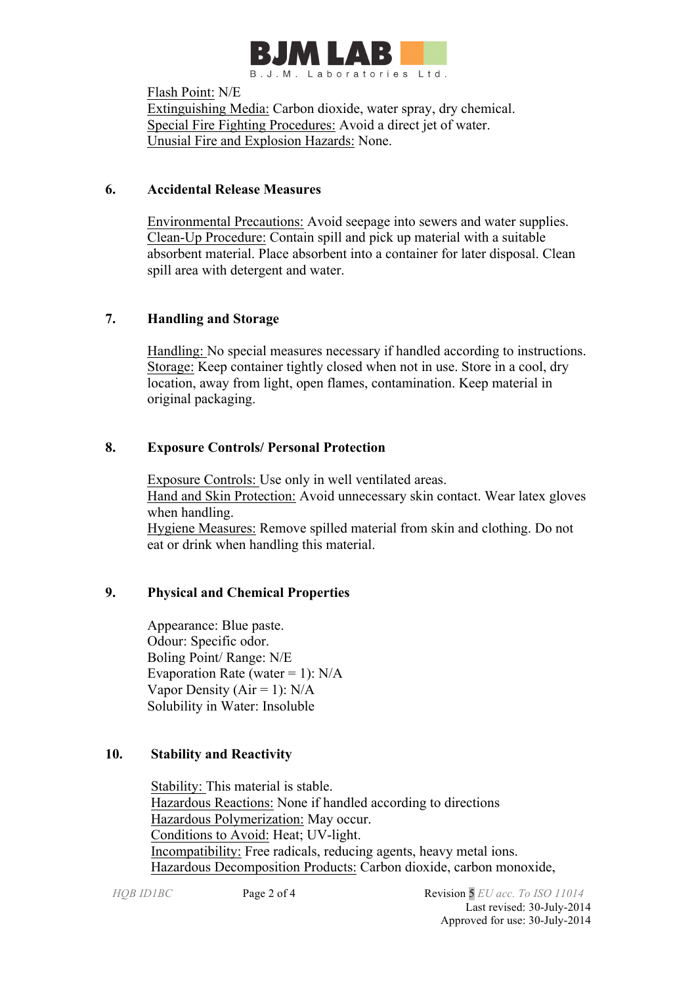

Flash Point: N/E Extinguishing Media: Carbon dioxide, water spray, dry chemical. Special Fire Fighting Procedures: Avoid a direct jet of water. Unusial Fire and Explosion Hazards: None.

# **6. Accidental Release Measures**

 Environmental Precautions: Avoid seepage into sewers and water supplies. Clean-Up Procedure: Contain spill and pick up material with a suitable absorbent material. Place absorbent into a container for later disposal. Clean spill area with detergent and water.

# **7. Handling and Storage**

 Handling: No special measures necessary if handled according to instructions. Storage: Keep container tightly closed when not in use. Store in a cool, dry location, away from light, open flames, contamination. Keep material in original packaging.

# **8. Exposure Controls/ Personal Protection**

 Exposure Controls: Use only in well ventilated areas. Hand and Skin Protection: Avoid unnecessary skin contact. Wear latex gloves when handling. Hygiene Measures: Remove spilled material from skin and clothing. Do not eat or drink when handling this material.

# **9. Physical and Chemical Properties**

Appearance: Blue paste. Odour: Specific odor. Boling Point/ Range: N/E Evaporation Rate (water = 1):  $N/A$ Vapor Density ( $Air = 1$ ):  $N/A$ Solubility in Water: Insoluble

# **10. Stability and Reactivity**

 Stability: This material is stable. Hazardous Reactions: None if handled according to directions Hazardous Polymerization: May occur. Conditions to Avoid: Heat; UV-light. Incompatibility: Free radicals, reducing agents, heavy metal ions. Hazardous Decomposition Products: Carbon dioxide, carbon monoxide,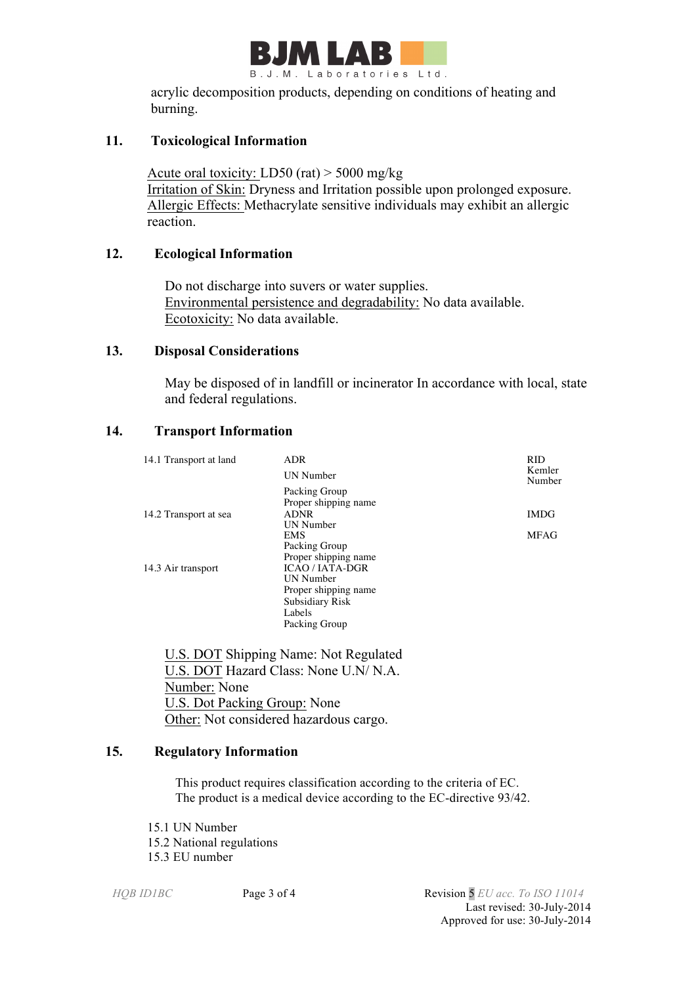

 acrylic decomposition products, depending on conditions of heating and burning.

## **11. Toxicological Information**

Acute oral toxicity: LD50 (rat) > 5000 mg/kg Irritation of Skin: Dryness and Irritation possible upon prolonged exposure. Allergic Effects: Methacrylate sensitive individuals may exhibit an allergic reaction.

## **12. Ecological Information**

 Do not discharge into suvers or water supplies. Environmental persistence and degradability: No data available. Ecotoxicity: No data available.

### **13. Disposal Considerations**

 May be disposed of in landfill or incinerator In accordance with local, state and federal regulations.

## **14. Transport Information**

| 14.1 Transport at land | ADR                                 | <b>RID</b>       |
|------------------------|-------------------------------------|------------------|
|                        | <b>UN</b> Number                    | Kemler<br>Number |
|                        | Packing Group                       |                  |
|                        | Proper shipping name<br><b>ADNR</b> | <b>IMDG</b>      |
| 14.2 Transport at sea  | <b>UN</b> Number                    |                  |
|                        | <b>EMS</b>                          | <b>MFAG</b>      |
|                        | Packing Group                       |                  |
|                        | Proper shipping name                |                  |
| 14.3 Air transport     | <b>ICAO/IATA-DGR</b>                |                  |
|                        | <b>UN</b> Number                    |                  |
|                        | Proper shipping name                |                  |
|                        | Subsidiary Risk                     |                  |
|                        | Labels                              |                  |
|                        | Packing Group                       |                  |

 U.S. DOT Shipping Name: Not Regulated U.S. DOT Hazard Class: None U.N/ N.A. Number: None U.S. Dot Packing Group: None Other: Not considered hazardous cargo.

# **15. Regulatory Information**

This product requires classification according to the criteria of EC. The product is a medical device according to the EC-directive 93/42.

- 15.1 UN Number
- 15.2 National regulations
- 15.3 EU number